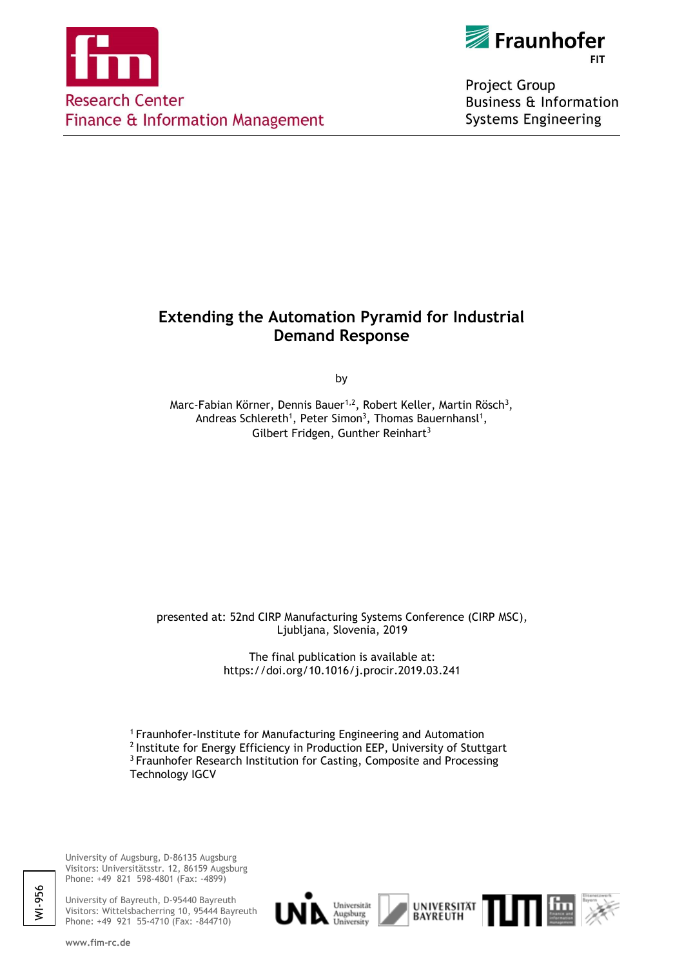



Project Group **Business & Information Systems Engineering** 

# **Extending the Automation Pyramid for Industrial Demand Response**

by

Marc-Fabian Körner, Dennis Bauer $^{1,2}$ , Robert Keller, Martin Rösch $^3$ , Andreas Schlereth<sup>1</sup>, Peter Simon<sup>3</sup>, Thomas Bauernhansl<sup>1</sup>, Gilbert Fridgen, Gunther Reinhart<sup>3</sup>

presented at: 52nd CIRP Manufacturing Systems Conference (CIRP MSC), Ljubljana, Slovenia, 2019

> The final publication is available at: https://doi.org/10.1016/j.procir.2019.03.241

<sup>1</sup> Fraunhofer-Institute for Manufacturing Engineering and Automation <sup>2</sup> Institute for Energy Efficiency in Production EEP, University of Stuttgart <sup>3</sup> Fraunhofer Research Institution for Casting, Composite and Processing Technology IGCV

University of Augsburg, D-86135 Augsburg Visitors: Universitätsstr. 12, 86159 Augsburg Phone: +49 821 598-4801 (Fax: -4899)

University of Bayreuth, D-95440 Bayreuth Visitors: Wittelsbacherring 10, 95444 Bayreuth Phone: +49 921 55-4710 (Fax: -844710)

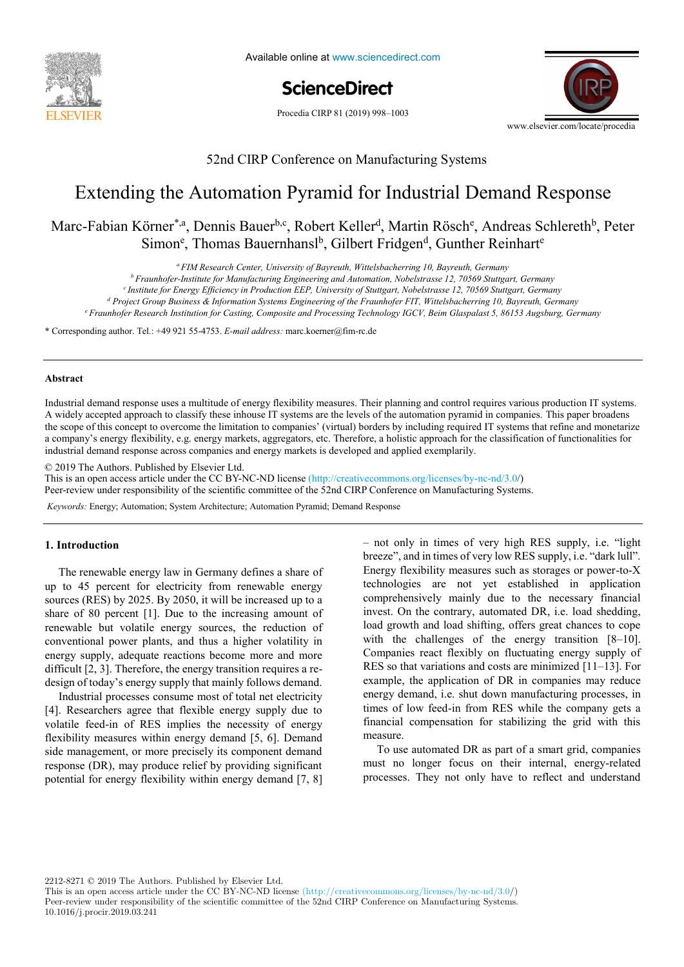

Available online at www.sciencedirect.com

**ScienceDirect** ScienceDirect Procedia CIRP 00 (2019) 000–000

Procedia CIRP 81 (2019) 998-1003



52nd CIRP Conference on Manufacturing Systems

## : Automation Pyramid for Industrial Dem  $\mathcal{L}_{\mathcal{L}}$  the Automation Pyramid for  $\mathcal{L}_{\mathcal{L}}$  $\mathcal{L}$ ,  $\mathcal{L}$ ,  $\mathcal{L}$ ,  $\mathcal{L}$ ,  $\mathcal{L}$ ,  $\mathcal{L}$ ,  $\mathcal{L}$ ,  $\mathcal{L}$ ,  $\mathcal{L}$ ,  $\mathcal{L}$ ,  $\mathcal{L}$ ,  $\mathcal{L}$ ,  $\mathcal{L}$ ,  $\mathcal{L}$ ,  $\mathcal{L}$ ,  $\mathcal{L}$ ,  $\mathcal{L}$ ,  $\mathcal{L}$ ,  $\mathcal{L}$ ,  $\mathcal{L}$ ,  $\mathcal{L}$ ,  $\mathcal{L}$ , Extending the Automation Pyramid for Industrial Demand Response

Marc-Fabian Körner\*,<sup>a</sup>, Dennis Bauer<sup>b,c</sup>, Robert Keller<sup>d</sup>, Martin Rösch<sup>e</sup>, Andreas Schlereth<sup>b</sup>, Peter Simon<sup>e</sup>, Thomas Bauernhansl<sup>b</sup>, Gilbert Fridgen<sup>d</sup>, Gunther Reinhart<sup>e</sup> Marc-Fabian Körner<sup>\*,a</sup>, Dennis Bauer<sup>b,c</sup>, Robert Keller<sup>d</sup>, Martin Rösch<sup>e</sup>, Andreas Schlereth<sup>b</sup>, Peter

*<sup>b</sup> Fraunhofer-Institute for Manufacturing Engineering and Automation, Nobelstrasse 12, 70569 Stuttgart, Germany* <sup>a</sup> FIM Research Center, University of Bayreuth, Wittelsbacherring 10, Bayreuth, Germany

<sup>b</sup> Fraunhofer-Institute for Manufacturing Engineering and Automation, Nobelstrasse 12, 70569 Stuttgart, Germany<br>Care and Bandary Report of the Care and Automation, Nobelstrasse 12, 70569 Stuttgart, Germany

r raunnojer-institute for Manujacturing Engineering ana Automation, Nobelstrasse 12, 70569 Stuttgart, Germany<br>Institute for Energy Efficiency in Production EEP, University of Stuttgart, Nobelstrasse 12, 70569 Stuttgart, Ge

Institute for Energy Efficiency in Production EEP, University of Stutigart, Nobelstrasse 12, 70509 Stutigart, Germany<br>Project Group Business & Information Systems Engineering of the Fraunhofer FIT, Wittelsbacherring 10, Ba

*e* Fraunhofer Research Institution for Casting, Composite and Processing Technology IGCV, Beim Glaspalast 5, 86153 Augsburg, Germany

\* Corresponding author. Tel.: +33 3 87 37 54 30; *E-mail address:* paul.stief@ensam.eu \* Corresponding author. Tel.: +49 921 55-4753. *E-mail address:* marc.koerner@fim-rc.de

#### **Abstract Abstract** Industrial demand response uses a multitude of energy flexibility measures. Their planning and control requires various production IT systems. **Abstract**

nuustrial demand response uses a munitude of energy nexiomly measures. Their planning and control requires various production 11 systems.<br>A widely accepted approach to classify these inhouse IT systems are the levels of th the scope of this concept to overcome the limitation to companies' (virtual) borders by including required IT systems that refine and monetarize a company's energy flexibility, e.g. energy markets, aggregators, etc. Therefore, a holistic approach for the classification of functionalities for industrial demand response across companies and energy markets is developed and applied exemplarily. Industrial demand response uses a multitude of energy flexibility measures. Their planning and control requires various production IT systems. A widely accepted approach to classify these inhouse IT systems are the levels of the automation pyramid in companies. This paper broadens

similarity between product families by providing design support to both, production system planners and product designers. An illustrative

© 2019 The Authors. Published by Elsevier Ltd.

This is an open access article under the CC BY-NC-ND license (http://creativecommons.org/licenses/by-nc-nd/3.0/) Peer-review under responsibility of the scientific committee of the 52nd CIRP Conference on Manufacturing Systems.

 $\alpha$  Chain, the physical structure of the physical structure of the products is analyzed. Functional subassemblies are identified, and  $\alpha$ Keywords: Energy; Automation; System Architecture; Automation Pyramid; Demand Response

*Keywords:* Energy; Automation; System Architecture; Automation Pyramid; Demand Response

#### **1. Introduction**

© 2017 The Authors. Published by Elsevier B.V. The renewable energy law in Germany defines a share of **1.** Energy flexibility meas sources (RES) by 2025. By 2050, it will be increased up to a  $\frac{1}{2}$ energy supply, adequate reactions become more and more design of today's energy supply that mainly follows demand. up to 45 percent for electricity from renewable energy  $(2.5\%)$  in  $(2.6\%)$  in Germany defines a share of  $(2.5\%)$ share of 80 percent  $[1]$ . Due to the increasing amount of renewable but volatile energy sources, the reduction of conventional power plants, and thus a higher volatility in difficult  $[2, 3]$ . Therefore, the energy transition requires a re-

Industrial processes consume most of total net electricity [4]. Researchers agree that flexible energy supply due to volatile feed-in of RES implies the necessity of energy supply due to the necessity of energy flexibility measures within energy demand [5, 6]. Demand side management, or more precisely its component demand response (DR), may produce relief by providing significant  $\overline{C}$ potential for energy flexibility within energy demand [7, 8]  $\mathbf{v}$  is inducing the development from matrix  $\mathbf{v}$ 

1. Introduction **a nail-clipper is used to explanate methodology.** And in times of very high RES supply, i.e. "light  $\frac{1}{2}$  in the set of very light lines of very light lines of very light lines of very light. Companies react flexibly on fluctuating energy supply of  $RSE$ RES so that variations and costs are minimized  $[11-13]$ . For example, the application of DR in companies may reduce energy demand, i.e. shut down manufacturing processes, in times of low feed-in from RES while the company gets a  $\tilde{c}$ financial compensation for stabilizing the grid with this product families are regrouped in function of clients or features. measure. Energy flexibility measures such as storages or power-to- $X$ technologies are not yet established in application comprehensively mainly due to the necessary financial invest. On the contrary, automated DR, i.e. load shedding, load growth and load shifting, offers great chances to cope with the challenges of the energy transition  $[8-10]$ .

measure.<br>To use automated DR as part of a smart grid, companies must no longer focus on their internal, energy-related processes. They not only have to reflect and understand measure.

2212-8271 © 2019 The Authors. Published by Elsevier Ltd.

This is an open access article under the CC BY-NC-ND license (http://creativecommons.org/licenses/by-nc-nd/3.0/) Peer-review under responsibility of the scientific committee of the 52nd CIRP Conference on Manufacturing Systems. 10.1016/j.procir.2019.03.241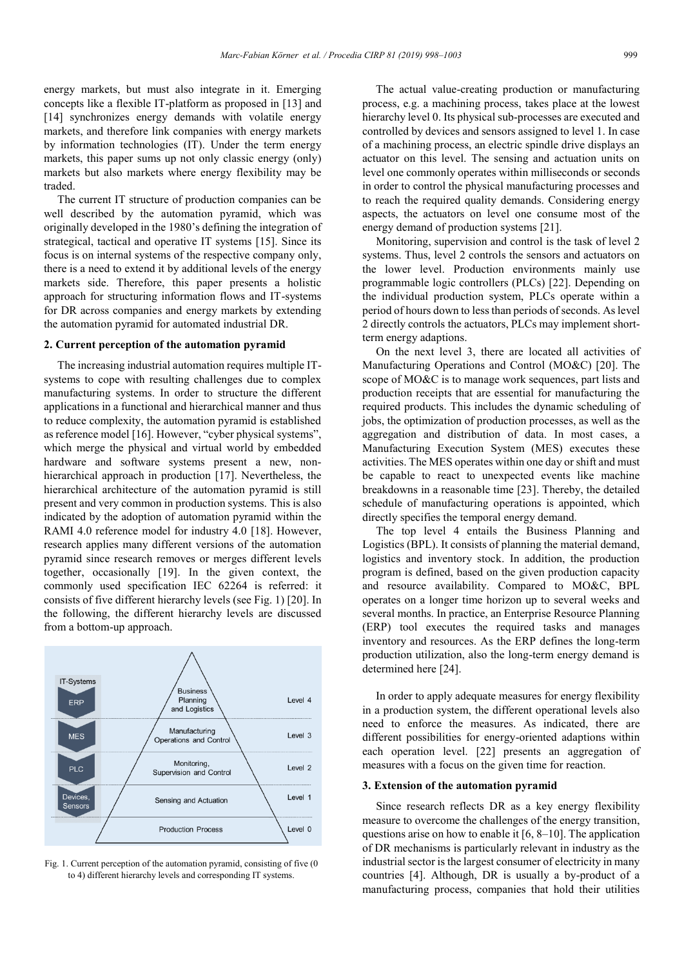energy markets, but must also integrate in it. Emerging concepts like a flexible IT-platform as proposed in [13] and [14] synchronizes energy demands with volatile energy markets, and therefore link companies with energy markets by information technologies (IT). Under the term energy markets, this paper sums up not only classic energy (only) markets but also markets where energy flexibility may be traded.

The current IT structure of production companies can be well described by the automation pyramid, which was originally developed in the 1980's defining the integration of strategical, tactical and operative IT systems [15]. Since its focus is on internal systems of the respective company only, there is a need to extend it by additional levels of the energy markets side. Therefore, this paper presents a holistic approach for structuring information flows and IT-systems for DR across companies and energy markets by extending the automation pyramid for automated industrial DR.

#### **2. Current perception of the automation pyramid**

The increasing industrial automation requires multiple ITsystems to cope with resulting challenges due to complex manufacturing systems. In order to structure the different applications in a functional and hierarchical manner and thus to reduce complexity, the automation pyramid is established as reference model [16]. However, "cyber physical systems", which merge the physical and virtual world by embedded hardware and software systems present a new, nonhierarchical approach in production [17]. Nevertheless, the hierarchical architecture of the automation pyramid is still present and very common in production systems. This is also indicated by the adoption of automation pyramid within the RAMI 4.0 reference model for industry 4.0 [18]. However, research applies many different versions of the automation pyramid since research removes or merges different levels together, occasionally [19]. In the given context, the commonly used specification IEC 62264 is referred: it consists of five different hierarchy levels (see Fig. 1) [20]. In the following, the different hierarchy levels are discussed from a bottom-up approach.



Fig. 1. Current perception of the automation pyramid, consisting of five (0 to 4) different hierarchy levels and corresponding IT systems.

The actual value-creating production or manufacturing process, e.g. a machining process, takes place at the lowest hierarchy level 0. Its physical sub-processes are executed and controlled by devices and sensors assigned to level 1. In case of a machining process, an electric spindle drive displays an actuator on this level. The sensing and actuation units on level one commonly operates within milliseconds or seconds in order to control the physical manufacturing processes and to reach the required quality demands. Considering energy aspects, the actuators on level one consume most of the energy demand of production systems [21].

Monitoring, supervision and control is the task of level 2 systems. Thus, level 2 controls the sensors and actuators on the lower level. Production environments mainly use programmable logic controllers (PLCs) [22]. Depending on the individual production system, PLCs operate within a period of hours down to less than periods of seconds. As level 2 directly controls the actuators, PLCs may implement shortterm energy adaptions.

On the next level 3, there are located all activities of Manufacturing Operations and Control (MO&C) [20]. The scope of MO&C is to manage work sequences, part lists and production receipts that are essential for manufacturing the required products. This includes the dynamic scheduling of jobs, the optimization of production processes, as well as the aggregation and distribution of data. In most cases, a Manufacturing Execution System (MES) executes these activities. The MES operates within one day or shift and must be capable to react to unexpected events like machine breakdowns in a reasonable time [23]. Thereby, the detailed schedule of manufacturing operations is appointed, which directly specifies the temporal energy demand.

The top level 4 entails the Business Planning and Logistics (BPL). It consists of planning the material demand, logistics and inventory stock. In addition, the production program is defined, based on the given production capacity and resource availability. Compared to MO&C, BPL operates on a longer time horizon up to several weeks and several months. In practice, an Enterprise Resource Planning (ERP) tool executes the required tasks and manages inventory and resources. As the ERP defines the long-term production utilization, also the long-term energy demand is determined here [24].

In order to apply adequate measures for energy flexibility in a production system, the different operational levels also need to enforce the measures. As indicated, there are different possibilities for energy-oriented adaptions within each operation level. [22] presents an aggregation of measures with a focus on the given time for reaction.

#### **3. Extension of the automation pyramid**

Since research reflects DR as a key energy flexibility measure to overcome the challenges of the energy transition, questions arise on how to enable it [6, 8–10]. The application of DR mechanisms is particularly relevant in industry as the industrial sector is the largest consumer of electricity in many countries [4]. Although, DR is usually a by-product of a manufacturing process, companies that hold their utilities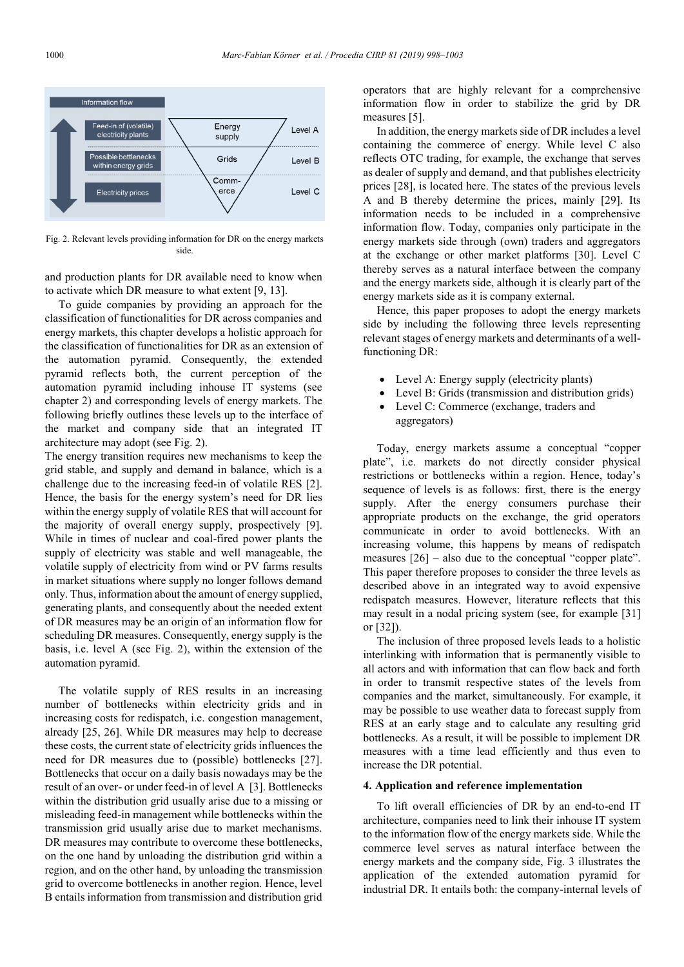

Fig. 2. Relevant levels providing information for DR on the energy markets side.

and production plants for DR available need to know when to activate which DR measure to what extent [9, 13].

To guide companies by providing an approach for the classification of functionalities for DR across companies and energy markets, this chapter develops a holistic approach for the classification of functionalities for DR as an extension of the automation pyramid. Consequently, the extended pyramid reflects both, the current perception of the automation pyramid including inhouse IT systems (see chapter 2) and corresponding levels of energy markets. The following briefly outlines these levels up to the interface of the market and company side that an integrated IT architecture may adopt (see Fig. 2).

The energy transition requires new mechanisms to keep the grid stable, and supply and demand in balance, which is a challenge due to the increasing feed-in of volatile RES [2]. Hence, the basis for the energy system's need for DR lies within the energy supply of volatile RES that will account for the majority of overall energy supply, prospectively [9]. While in times of nuclear and coal-fired power plants the supply of electricity was stable and well manageable, the volatile supply of electricity from wind or PV farms results in market situations where supply no longer follows demand only. Thus, information about the amount of energy supplied, generating plants, and consequently about the needed extent of DR measures may be an origin of an information flow for scheduling DR measures. Consequently, energy supply is the basis, i.e. level A (see Fig. 2), within the extension of the automation pyramid.

The volatile supply of RES results in an increasing number of bottlenecks within electricity grids and in increasing costs for redispatch, i.e. congestion management, already [25, 26]. While DR measures may help to decrease these costs, the current state of electricity grids influences the need for DR measures due to (possible) bottlenecks [27]. Bottlenecks that occur on a daily basis nowadays may be the result of an over- or under feed-in of level A [3]. Bottlenecks within the distribution grid usually arise due to a missing or misleading feed-in management while bottlenecks within the transmission grid usually arise due to market mechanisms. DR measures may contribute to overcome these bottlenecks, on the one hand by unloading the distribution grid within a region, and on the other hand, by unloading the transmission grid to overcome bottlenecks in another region. Hence, level B entails information from transmission and distribution grid

operators that are highly relevant for a comprehensive information flow in order to stabilize the grid by DR measures [5].

In addition, the energy markets side of DR includes a level containing the commerce of energy. While level C also reflects OTC trading, for example, the exchange that serves as dealer of supply and demand, and that publishes electricity prices [28], is located here. The states of the previous levels A and B thereby determine the prices, mainly [29]. Its information needs to be included in a comprehensive information flow. Today, companies only participate in the energy markets side through (own) traders and aggregators at the exchange or other market platforms [30]. Level C thereby serves as a natural interface between the company and the energy markets side, although it is clearly part of the energy markets side as it is company external.

Hence, this paper proposes to adopt the energy markets side by including the following three levels representing relevant stages of energy markets and determinants of a wellfunctioning DR:

- Level A: Energy supply (electricity plants)
- Level B: Grids (transmission and distribution grids)
- Level C: Commerce (exchange, traders and aggregators)

Today, energy markets assume a conceptual "copper plate", i.e. markets do not directly consider physical restrictions or bottlenecks within a region. Hence, today's sequence of levels is as follows: first, there is the energy supply. After the energy consumers purchase their appropriate products on the exchange, the grid operators communicate in order to avoid bottlenecks. With an increasing volume, this happens by means of redispatch measures [26] – also due to the conceptual "copper plate". This paper therefore proposes to consider the three levels as described above in an integrated way to avoid expensive redispatch measures. However, literature reflects that this may result in a nodal pricing system (see, for example [31] or [32]).

The inclusion of three proposed levels leads to a holistic interlinking with information that is permanently visible to all actors and with information that can flow back and forth in order to transmit respective states of the levels from companies and the market, simultaneously. For example, it may be possible to use weather data to forecast supply from RES at an early stage and to calculate any resulting grid bottlenecks. As a result, it will be possible to implement DR measures with a time lead efficiently and thus even to increase the DR potential.

#### **4. Application and reference implementation**

To lift overall efficiencies of DR by an end-to-end IT architecture, companies need to link their inhouse IT system to the information flow of the energy markets side. While the commerce level serves as natural interface between the energy markets and the company side, Fig. 3 illustrates the application of the extended automation pyramid for industrial DR. It entails both: the company-internal levels of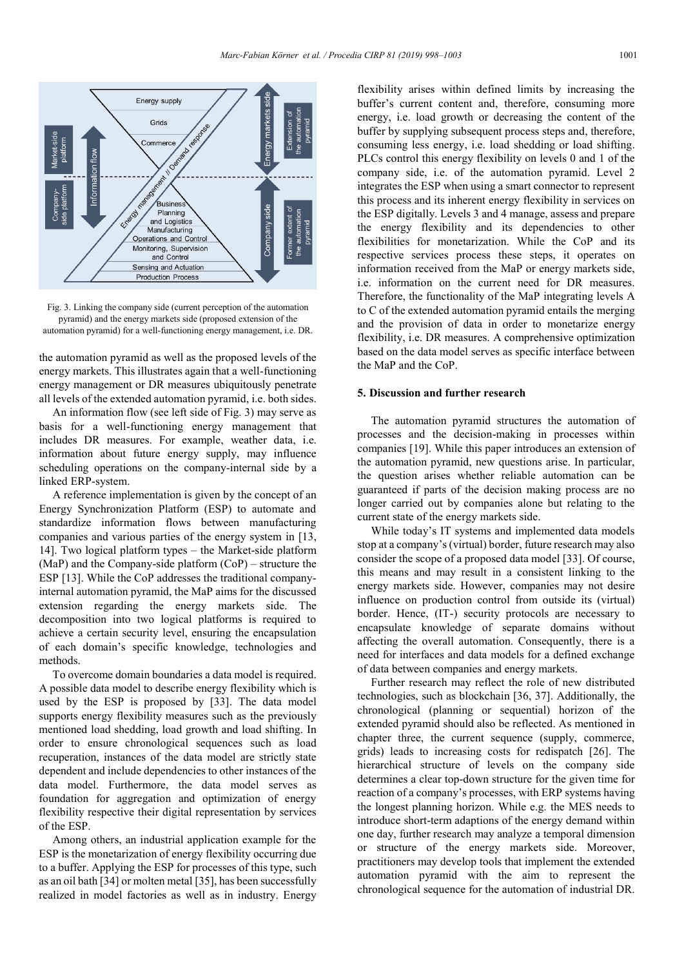

Fig. 3. Linking the company side (current perception of the automation pyramid) and the energy markets side (proposed extension of the automation pyramid) for a well-functioning energy management, i.e. DR.

the automation pyramid as well as the proposed levels of the energy markets. This illustrates again that a well-functioning energy management or DR measures ubiquitously penetrate all levels of the extended automation pyramid, i.e. both sides.

An information flow (see left side of Fig. 3) may serve as basis for a well-functioning energy management that includes DR measures. For example, weather data, i.e. information about future energy supply, may influence scheduling operations on the company-internal side by a linked ERP-system.

A reference implementation is given by the concept of an Energy Synchronization Platform (ESP) to automate and standardize information flows between manufacturing companies and various parties of the energy system in [13, 14]. Two logical platform types – the Market-side platform (MaP) and the Company-side platform (CoP) – structure the ESP [13]. While the CoP addresses the traditional companyinternal automation pyramid, the MaP aims for the discussed extension regarding the energy markets side. The decomposition into two logical platforms is required to achieve a certain security level, ensuring the encapsulation of each domain's specific knowledge, technologies and methods.

To overcome domain boundaries a data model is required. A possible data model to describe energy flexibility which is used by the ESP is proposed by [33]. The data model supports energy flexibility measures such as the previously mentioned load shedding, load growth and load shifting. In order to ensure chronological sequences such as load recuperation, instances of the data model are strictly state dependent and include dependencies to other instances of the data model. Furthermore, the data model serves as foundation for aggregation and optimization of energy flexibility respective their digital representation by services of the ESP.

Among others, an industrial application example for the ESP is the monetarization of energy flexibility occurring due to a buffer. Applying the ESP for processes of this type, such as an oil bath [34] or molten metal [35], has been successfully realized in model factories as well as in industry. Energy flexibility arises within defined limits by increasing the buffer's current content and, therefore, consuming more energy, i.e. load growth or decreasing the content of the buffer by supplying subsequent process steps and, therefore, consuming less energy, i.e. load shedding or load shifting. PLCs control this energy flexibility on levels 0 and 1 of the company side, i.e. of the automation pyramid. Level 2 integrates the ESP when using a smart connector to represent this process and its inherent energy flexibility in services on the ESP digitally. Levels 3 and 4 manage, assess and prepare the energy flexibility and its dependencies to other flexibilities for monetarization. While the CoP and its respective services process these steps, it operates on information received from the MaP or energy markets side, i.e. information on the current need for DR measures. Therefore, the functionality of the MaP integrating levels A to C of the extended automation pyramid entails the merging and the provision of data in order to monetarize energy flexibility, i.e. DR measures. A comprehensive optimization based on the data model serves as specific interface between the MaP and the CoP.

#### **5. Discussion and further research**

The automation pyramid structures the automation of processes and the decision-making in processes within companies [19]. While this paper introduces an extension of the automation pyramid, new questions arise. In particular, the question arises whether reliable automation can be guaranteed if parts of the decision making process are no longer carried out by companies alone but relating to the current state of the energy markets side.

While today's IT systems and implemented data models stop at a company's (virtual) border, future research may also consider the scope of a proposed data model [33]. Of course, this means and may result in a consistent linking to the energy markets side. However, companies may not desire influence on production control from outside its (virtual) border. Hence, (IT-) security protocols are necessary to encapsulate knowledge of separate domains without affecting the overall automation. Consequently, there is a need for interfaces and data models for a defined exchange of data between companies and energy markets.

Further research may reflect the role of new distributed technologies, such as blockchain [36, 37]. Additionally, the chronological (planning or sequential) horizon of the extended pyramid should also be reflected. As mentioned in chapter three, the current sequence (supply, commerce, grids) leads to increasing costs for redispatch [26]. The hierarchical structure of levels on the company side determines a clear top-down structure for the given time for reaction of a company's processes, with ERP systems having the longest planning horizon. While e.g. the MES needs to introduce short-term adaptions of the energy demand within one day, further research may analyze a temporal dimension or structure of the energy markets side. Moreover, practitioners may develop tools that implement the extended automation pyramid with the aim to represent the chronological sequence for the automation of industrial DR.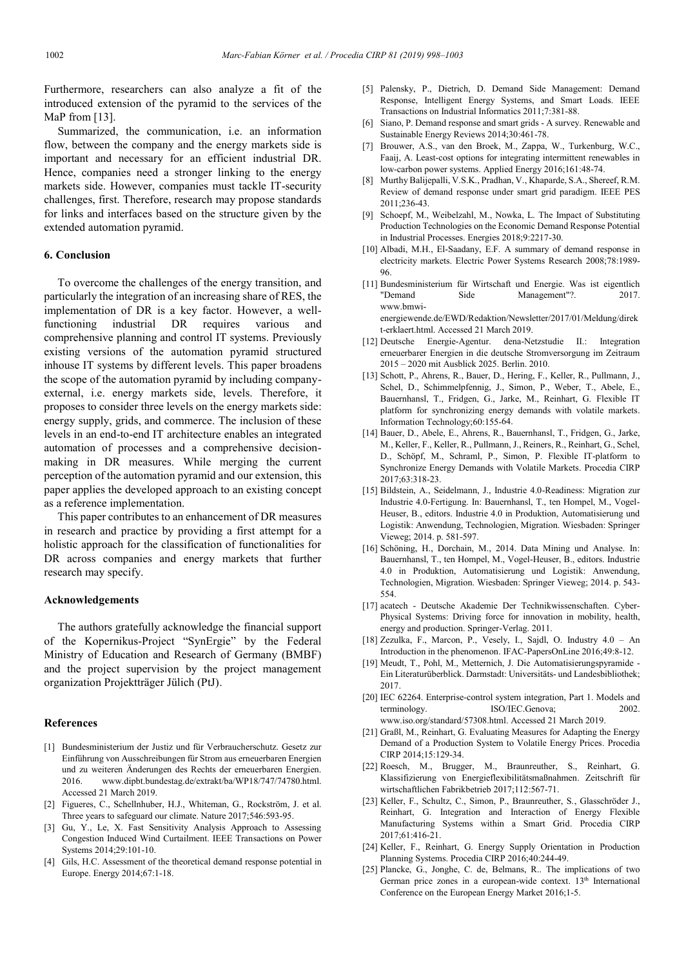Furthermore, researchers can also analyze a fit of the introduced extension of the pyramid to the services of the MaP from [13].

Summarized, the communication, i.e. an information flow, between the company and the energy markets side is important and necessary for an efficient industrial DR. Hence, companies need a stronger linking to the energy markets side. However, companies must tackle IT-security challenges, first. Therefore, research may propose standards for links and interfaces based on the structure given by the extended automation pyramid.

### **6. Conclusion**

To overcome the challenges of the energy transition, and particularly the integration of an increasing share of RES, the implementation of DR is a key factor. However, a wellfunctioning industrial DR requires various and comprehensive planning and control IT systems. Previously existing versions of the automation pyramid structured inhouse IT systems by different levels. This paper broadens the scope of the automation pyramid by including companyexternal, i.e. energy markets side, levels. Therefore, it proposes to consider three levels on the energy markets side: energy supply, grids, and commerce. The inclusion of these levels in an end-to-end IT architecture enables an integrated automation of processes and a comprehensive decisionmaking in DR measures. While merging the current perception of the automation pyramid and our extension, this paper applies the developed approach to an existing concept as a reference implementation.

This paper contributes to an enhancement of DR measures in research and practice by providing a first attempt for a holistic approach for the classification of functionalities for DR across companies and energy markets that further research may specify.

#### **Acknowledgements**

The authors gratefully acknowledge the financial support of the Kopernikus-Project "SynErgie" by the Federal Ministry of Education and Research of Germany (BMBF) and the project supervision by the project management organization Projektträger Jülich (PtJ).

#### **References**

- [1] Bundesministerium der Justiz und für Verbraucherschutz. Gesetz zur Einführung von Ausschreibungen für Strom aus erneuerbaren Energien und zu weiteren Änderungen des Rechts der erneuerbaren Energien. 2016. www.dipbt.bundestag.de/extrakt/ba/WP18/747/74780.html. Accessed 21 March 2019.
- [2] Figueres, C., Schellnhuber, H.J., Whiteman, G., Rockström, J. et al. Three years to safeguard our climate. Nature 2017;546:593-95.
- [3] Gu, Y., Le, X. Fast Sensitivity Analysis Approach to Assessing Congestion Induced Wind Curtailment. IEEE Transactions on Power Systems 2014;29:101-10.
- [4] Gils, H.C. Assessment of the theoretical demand response potential in Europe. Energy 2014;67:1-18.
- [5] Palensky, P., Dietrich, D. Demand Side Management: Demand Response, Intelligent Energy Systems, and Smart Loads. IEEE Transactions on Industrial Informatics 2011;7:381-88.
- [6] Siano, P. Demand response and smart grids A survey. Renewable and Sustainable Energy Reviews 2014;30:461-78.
- [7] Brouwer, A.S., van den Broek, M., Zappa, W., Turkenburg, W.C., Faaij, A. Least-cost options for integrating intermittent renewables in low-carbon power systems. Applied Energy 2016;161:48-74.
- [8] Murthy Balijepalli, V.S.K., Pradhan, V., Khaparde, S.A., Shereef, R.M. Review of demand response under smart grid paradigm. IEEE PES 2011;236-43.
- [9] Schoepf, M., Weibelzahl, M., Nowka, L. The Impact of Substituting Production Technologies on the Economic Demand Response Potential in Industrial Processes. Energies 2018;9:2217-30.
- [10] Albadi, M.H., El-Saadany, E.F. A summary of demand response in electricity markets. Electric Power Systems Research 2008;78:1989- 96.
- [11] Bundesministerium für Wirtschaft und Energie. Was ist eigentlich "Demand Side Management"?. 2017. www.bmwienergiewende.de/EWD/Redaktion/Newsletter/2017/01/Meldung/direk t-erklaert.html. Accessed 21 March 2019.
- [12] Deutsche Energie-Agentur. dena-Netzstudie II.: Integration erneuerbarer Energien in die deutsche Stromversorgung im Zeitraum 2015 – 2020 mit Ausblick 2025. Berlin. 2010.
- [13] Schott, P., Ahrens, R., Bauer, D., Hering, F., Keller, R., Pullmann, J., Schel, D., Schimmelpfennig, J., Simon, P., Weber, T., Abele, E., Bauernhansl, T., Fridgen, G., Jarke, M., Reinhart, G. Flexible IT platform for synchronizing energy demands with volatile markets. Information Technology;60:155-64.
- [14] Bauer, D., Abele, E., Ahrens, R., Bauernhansl, T., Fridgen, G., Jarke, M., Keller, F., Keller, R., Pullmann, J., Reiners, R., Reinhart, G., Schel, D., Schöpf, M., Schraml, P., Simon, P. Flexible IT-platform to Synchronize Energy Demands with Volatile Markets. Procedia CIRP 2017;63:318-23.
- [15] Bildstein, A., Seidelmann, J., Industrie 4.0-Readiness: Migration zur Industrie 4.0-Fertigung. In: Bauernhansl, T., ten Hompel, M., Vogel-Heuser, B., editors. Industrie 4.0 in Produktion, Automatisierung und Logistik: Anwendung, Technologien, Migration. Wiesbaden: Springer Vieweg; 2014. p. 581-597.
- [16] Schöning, H., Dorchain, M., 2014. Data Mining und Analyse. In: Bauernhansl, T., ten Hompel, M., Vogel-Heuser, B., editors. Industrie 4.0 in Produktion, Automatisierung und Logistik: Anwendung, Technologien, Migration. Wiesbaden: Springer Vieweg; 2014. p. 543- 554.
- [17] acatech Deutsche Akademie Der Technikwissenschaften. Cyber-Physical Systems: Driving force for innovation in mobility, health, energy and production. Springer-Verlag. 2011.
- [18] Zezulka, F., Marcon, P., Vesely, I., Sajdl, O. Industry 4.0 An Introduction in the phenomenon. IFAC-PapersOnLine 2016;49:8-12.
- [19] Meudt, T., Pohl, M., Metternich, J. Die Automatisierungspyramide Ein Literaturüberblick. Darmstadt: Universitäts- und Landesbibliothek; 2017.
- [20] IEC 62264. Enterprise-control system integration, Part 1. Models and terminology. ISO/IEC.Genova; 2002. www.iso.org/standard/57308.html. Accessed 21 March 2019.
- [21] Graßl, M., Reinhart, G. Evaluating Measures for Adapting the Energy Demand of a Production System to Volatile Energy Prices. Procedia CIRP 2014;15:129-34.
- [22] Roesch, M., Brugger, M., Braunreuther, S., Reinhart, G. Klassifizierung von Energieflexibilitätsmaßnahmen. Zeitschrift für wirtschaftlichen Fabrikbetrieb 2017;112:567-71.
- [23] Keller, F., Schultz, C., Simon, P., Braunreuther, S., Glasschröder J., Reinhart, G. Integration and Interaction of Energy Flexible Manufacturing Systems within a Smart Grid. Procedia CIRP 2017;61:416-21.
- [24] Keller, F., Reinhart, G. Energy Supply Orientation in Production Planning Systems. Procedia CIRP 2016;40:244-49.
- [25] Plancke, G., Jonghe, C. de, Belmans, R.. The implications of two German price zones in a european-wide context. 13<sup>th</sup> International Conference on the European Energy Market 2016;1-5.